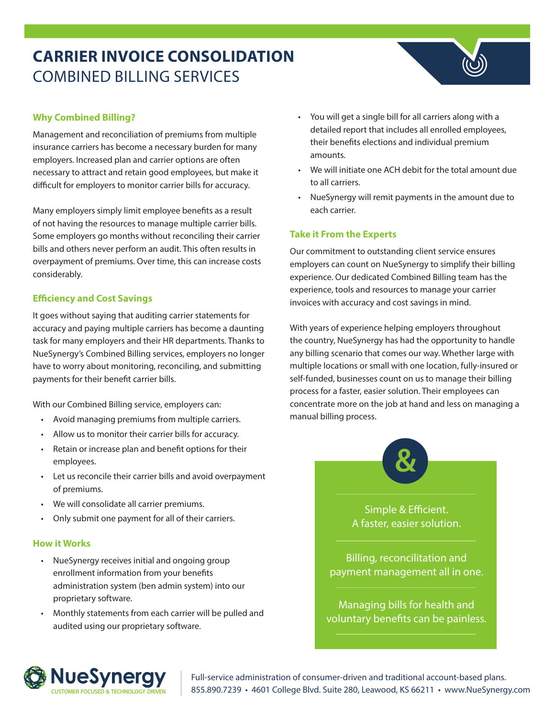# **CARRIER INVOICE CONSOLIDATION** COMBINED BILLING SERVICES



Management and reconciliation of premiums from multiple insurance carriers has become a necessary burden for many employers. Increased plan and carrier options are often necessary to attract and retain good employees, but make it difficult for employers to monitor carrier bills for accuracy.

Many employers simply limit employee benefits as a result of not having the resources to manage multiple carrier bills. Some employers go months without reconciling their carrier bills and others never perform an audit. This often results in overpayment of premiums. Over time, this can increase costs considerably.

## **Efficiency and Cost Savings**

It goes without saying that auditing carrier statements for accuracy and paying multiple carriers has become a daunting task for many employers and their HR departments. Thanks to NueSynergy's Combined Billing services, employers no longer have to worry about monitoring, reconciling, and submitting payments for their benefit carrier bills.

With our Combined Billing service, employers can:

- Avoid managing premiums from multiple carriers.
- Allow us to monitor their carrier bills for accuracy.
- Retain or increase plan and benefit options for their employees.
- Let us reconcile their carrier bills and avoid overpayment of premiums.
- We will consolidate all carrier premiums.
- Only submit one payment for all of their carriers.

### **How it Works**

- NueSynergy receives initial and ongoing group enrollment information from your benefits administration system (ben admin system) into our proprietary software.
- Monthly statements from each carrier will be pulled and audited using our proprietary software.
- You will get a single bill for all carriers along with a detailed report that includes all enrolled employees, their benefits elections and individual premium amounts.
- We will initiate one ACH debit for the total amount due to all carriers.
- NueSynergy will remit payments in the amount due to each carrier.

## **Take it From the Experts**

Our commitment to outstanding client service ensures employers can count on NueSynergy to simplify their billing experience. Our dedicated Combined Billing team has the experience, tools and resources to manage your carrier invoices with accuracy and cost savings in mind.

With years of experience helping employers throughout the country, NueSynergy has had the opportunity to handle any billing scenario that comes our way. Whether large with multiple locations or small with one location, fully-insured or self-funded, businesses count on us to manage their billing process for a faster, easier solution. Their employees can concentrate more on the job at hand and less on managing a manual billing process.



Simple & Efficient. A faster, easier solution.

Billing, reconcilitation and payment management all in one.

Managing bills for health and voluntary benefits can be painless.



Full-service administration of consumer-driven and traditional account-based plans. **NUESY NETCHEREE 8666 FOR FULL SERVICE ADMINISTRATION** Full-service administration of consumer-driven and traditional account-based plans.<br>CUSTOMER FOCUSED & TECHNOLOGY DRIVEN 855.890.7239 • 4601 College Blvd. Suite 280, L